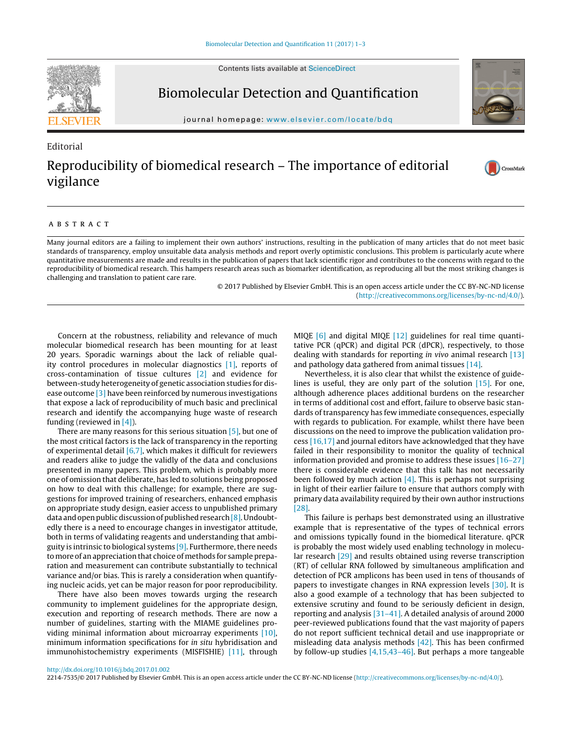Contents lists available at [ScienceDirect](http://www.sciencedirect.com/science/journal/00000000)



Editorial

Biomolecular Detection and Quantification

iournal homepage: www.elsevier.com/locate/bdg



## Reproducibility of biomedical research – The importance of editorial vigilance

## CrossMark

## A B S T R A C T

Many journal editors are a failing to implement their own authors' instructions, resulting in the publication of many articles that do not meet basic standards of transparency, employ unsuitable data analysis methods and report overly optimistic conclusions. This problem is particularly acute where quantitative measurements are made and results in the publication of papers that lack scientific rigor and contributes to the concerns with regard to the reproducibility of biomedical research. This hampers research areas such as biomarker identification, as reproducing all but the most striking changes is challenging and translation to patient care rare.

> © 2017 Published by Elsevier GmbH. This is an open access article under the CC BY-NC-ND license [\(http://creativecommons.org/licenses/by-nc-nd/4.0/](http://creativecommons.org/licenses/by-nc-nd/4.0/)).

Concern at the robustness, reliability and relevance of much molecular biomedical research has been mounting for at least 20 years. Sporadic warnings about the lack of reliable quality control procedures in molecular diagnostics [\[1\],](#page-1-0) reports of cross-contamination of tissue cultures [\[2\]](#page-1-0) and evidence for between-study heterogeneity of genetic association studies for disease outcome [\[3\]](#page-1-0) have been reinforced by numerous investigations that expose a lack of reproducibility of much basic and preclinical research and identify the accompanying huge waste of research funding (reviewed in [\[4\]\).](#page-1-0)

There are many reasons for this serious situation [\[5\],](#page-1-0) but one of the most critical factors is the lack of transparency in the reporting of experimental detail  $[6,7]$ , which makes it difficult for reviewers and readers alike to judge the validly of the data and conclusions presented in many papers. This problem, which is probably more one of omission that deliberate, has led to solutions being proposed on how to deal with this challenge; for example, there are suggestions for improved training of researchers, enhanced emphasis on appropriate study design, easier access to unpublished primary data and open public discussion of published research [\[8\].](#page-1-0) Undoubtedly there is a need to encourage changes in investigator attitude, both in terms of validating reagents and understanding that ambiguity is intrinsic to biological systems [\[9\].](#page-1-0) Furthermore,there needs to more of an appreciation that choice of methods for sample preparation and measurement can contribute substantially to technical variance and/or bias. This is rarely a consideration when quantifying nucleic acids, yet can be major reason for poor reproducibility.

There have also been moves towards urging the research community to implement guidelines for the appropriate design, execution and reporting of research methods. There are now a number of guidelines, starting with the MIAME guidelines providing minimal information about microarray experiments [\[10\],](#page-1-0) minimum information specifications for in situ hybridisation and immunohistochemistry experiments (MISFISHIE) [\[11\],](#page-1-0) through MIQE [\[6\]](#page-1-0) and digital MIQE [\[12\]](#page-1-0) guidelines for real time quantitative PCR (qPCR) and digital PCR (dPCR), respectively, to those dealing with standards for reporting in vivo animal research [\[13\]](#page-1-0) and pathology data gathered from animal tissues [\[14\].](#page-1-0)

Nevertheless, it is also clear that whilst the existence of guidelines is useful, they are only part of the solution [\[15\].](#page-1-0) For one, although adherence places additional burdens on the researcher in terms of additional cost and effort, failure to observe basic standards of transparency has few immediate consequences, especially with regards to publication. For example, whilst there have been discussions on the need to improve the publication validation process [\[16,17\]](#page-1-0) and journal editors have acknowledged that they have failed in their responsibility to monitor the quality of technical information provided and promise to address these issues [\[16–27\]](#page-1-0) there is considerable evidence that this talk has not necessarily been followed by much action  $[4]$ . This is perhaps not surprising in light of their earlier failure to ensure that authors comply with primary data availability required by their own author instructions [\[28\].](#page-2-0)

This failure is perhaps best demonstrated using an illustrative example that is representative of the types of technical errors and omissions typically found in the biomedical literature. qPCR is probably the most widely used enabling technology in molecular research [\[29\]](#page-2-0) and results obtained using reverse transcription (RT) of cellular RNA followed by simultaneous amplification and detection of PCR amplicons has been used in tens of thousands of papers to investigate changes in RNA expression levels [\[30\].](#page-2-0) It is also a good example of a technology that has been subjected to extensive scrutiny and found to be seriously deficient in design, reporting and analysis [\[31–41\].](#page-2-0) A detailed analysis of around 2000 peer-reviewed publications found that the vast majority of papers do not report sufficient technical detail and use inappropriate or misleading data analysis methods [\[42\].](#page-2-0) This has been confirmed by follow-up studies [\[4,15,43–46\].](#page-1-0) But perhaps a more tangeable

2214-7535/© 2017 Published by Elsevier GmbH. This is an open access article under the CC BY-NC-ND license [\(http://creativecommons.org/licenses/by-nc-nd/4.0/\)](http://creativecommons.org/licenses/by-nc-nd/4.0/).

[http://dx.doi.org/10.1016/j.bdq.2017.01.002](dx.doi.org/10.1016/j.bdq.2017.01.002)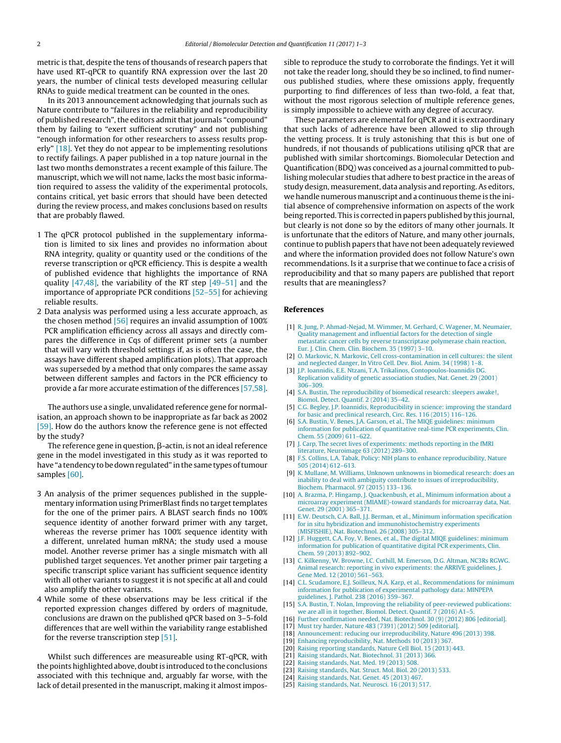<span id="page-1-0"></span>metric is that, despite the tens of thousands of research papers that have used RT-qPCR to quantify RNA expression over the last 20 years, the number of clinical tests developed measuring cellular RNAs to guide medical treatment can be counted in the ones.

In its 2013 announcement acknowledging that journals such as Nature contribute to "failures in the reliability and reproducibility of published research", the editors admit that journals "compound" them by failing to "exert sufficient scrutiny" and not publishing "enough information for other researchers to assess results properly" [18]. Yet they do not appear to be implementing resolutions to rectify failings. A paper published in a top nature journal in the last two months demonstrates a recent example of this failure. The manuscript, which we will not name, lacks the most basic information required to assess the validity of the experimental protocols, contains critical, yet basic errors that should have been detected during the review process, and makes conclusions based on results that are probably flawed.

- 1 The qPCR protocol published in the supplementary information is limited to six lines and provides no information about RNA integrity, quality or quantity used or the conditions of the reverse transcription or qPCR efficiency. This is despite a wealth of published evidence that highlights the importance of RNA quality [\[47,48\],](#page-2-0) the variability of the RT step [\[49–51\]](#page-2-0) and the importance of appropriate PCR conditions [\[52–55\]](#page-2-0) for achieving reliable results.
- 2 Data analysis was performed using a less accurate approach, as the chosen method [\[56\]](#page-2-0) requires an invalid assumption of 100% PCR amplification efficiency across all assays and directly compares the difference in Cqs of different primer sets (a number that will vary with threshold settings if, as is often the case, the assays have different shaped amplification plots). That approach was superseded by a method that only compares the same assay between different samples and factors in the PCR efficiency to provide a far more accurate estimation of the differences [\[57,58\].](#page-2-0)

The authors use a single, unvalidated reference gene for normalisation, an approach shown to be inappropriate as far back as 2002 [\[59\].](#page-2-0) How do the authors know the reference gene is not effected by the study?

The reference gene in question,  $\beta$ -actin, is not an ideal reference gene in the model investigated in this study as it was reported to have "a tendency to be down regulated" in the same types of tumour samples [\[60\].](#page-2-0)

- 3 An analysis of the primer sequences published in the supplementary information using PrimerBlast finds no target templates for the one of the primer pairs. A BLAST search finds no 100% sequence identity of another forward primer with any target, whereas the reverse primer has 100% sequence identity with a different, unrelated human mRNA; the study used a mouse model. Another reverse primer has a single mismatch with all published target sequences. Yet another primer pair targeting a specific transcript splice variant has sufficient sequence identity with all other variants to suggest it is not specific at all and could also amplify the other variants.
- 4 While some of these observations may be less critical if the reported expression changes differed by orders of magnitude, conclusions are drawn on the published qPCR based on 3–5-fold differences that are well within the variability range established for the reverse transcription step [\[51\].](#page-2-0)

Whilst such differences are measureable using RT-qPCR, with the points highlighted above, doubt is introduced to the conclusions associated with this technique and, arguably far worse, with the lack of detail presented in the manuscript, making it almost impossible to reproduce the study to corroborate the findings. Yet it will not take the reader long, should they be so inclined, to find numerous published studies, where these omissions apply, frequently purporting to find differences of less than two-fold, a feat that, without the most rigorous selection of multiple reference genes, is simply impossible to achieve with any degree of accuracy.

These parameters are elemental for qPCR and it is extraordinary that such lacks of adherence have been allowed to slip through the vetting process. It is truly astonishing that this is but one of hundreds, if not thousands of publications utilising qPCR that are published with similar shortcomings. Biomolecular Detection and Quantification (BDQ) was conceived as a journal committed to publishing molecular studies that adhere to best practice in the areas of study design, measurement, data analysis and reporting. As editors, we handle numerous manuscript and a continuous theme is the initial absence of comprehensive information on aspects of the work being reported. This is corrected in papers published by this journal, but clearly is not done so by the editors of many other journals. It is unfortunate that the editors of Nature, and many other journals, continue to publish papers that have not been adequately reviewed and where the information provided does not follow Nature's own recommendations. Is it a surprise that we continue to face a crisis of reproducibility and that so many papers are published that report results that are meaningless?

## **References**

- [1] [R.](http://refhub.elsevier.com/S2214-7535(17)30004-9/sbref0005) [Jung,](http://refhub.elsevier.com/S2214-7535(17)30004-9/sbref0005) [P.](http://refhub.elsevier.com/S2214-7535(17)30004-9/sbref0005) [Ahmad-Nejad,](http://refhub.elsevier.com/S2214-7535(17)30004-9/sbref0005) [M.](http://refhub.elsevier.com/S2214-7535(17)30004-9/sbref0005) [Wimmer,](http://refhub.elsevier.com/S2214-7535(17)30004-9/sbref0005) [M.](http://refhub.elsevier.com/S2214-7535(17)30004-9/sbref0005) [Gerhard,](http://refhub.elsevier.com/S2214-7535(17)30004-9/sbref0005) [C.](http://refhub.elsevier.com/S2214-7535(17)30004-9/sbref0005) [Wagener,](http://refhub.elsevier.com/S2214-7535(17)30004-9/sbref0005) [M.](http://refhub.elsevier.com/S2214-7535(17)30004-9/sbref0005) [Neumaier,](http://refhub.elsevier.com/S2214-7535(17)30004-9/sbref0005) [Quality](http://refhub.elsevier.com/S2214-7535(17)30004-9/sbref0005) [management](http://refhub.elsevier.com/S2214-7535(17)30004-9/sbref0005) [and](http://refhub.elsevier.com/S2214-7535(17)30004-9/sbref0005) [influential](http://refhub.elsevier.com/S2214-7535(17)30004-9/sbref0005) [factors](http://refhub.elsevier.com/S2214-7535(17)30004-9/sbref0005) [for](http://refhub.elsevier.com/S2214-7535(17)30004-9/sbref0005) [the](http://refhub.elsevier.com/S2214-7535(17)30004-9/sbref0005) [detection](http://refhub.elsevier.com/S2214-7535(17)30004-9/sbref0005) [of](http://refhub.elsevier.com/S2214-7535(17)30004-9/sbref0005) [single](http://refhub.elsevier.com/S2214-7535(17)30004-9/sbref0005) [metastatic](http://refhub.elsevier.com/S2214-7535(17)30004-9/sbref0005) [cancer](http://refhub.elsevier.com/S2214-7535(17)30004-9/sbref0005) [cells](http://refhub.elsevier.com/S2214-7535(17)30004-9/sbref0005) [by](http://refhub.elsevier.com/S2214-7535(17)30004-9/sbref0005) [reverse](http://refhub.elsevier.com/S2214-7535(17)30004-9/sbref0005) [transcriptase](http://refhub.elsevier.com/S2214-7535(17)30004-9/sbref0005) [polymerase](http://refhub.elsevier.com/S2214-7535(17)30004-9/sbref0005) [chain](http://refhub.elsevier.com/S2214-7535(17)30004-9/sbref0005) [reaction,](http://refhub.elsevier.com/S2214-7535(17)30004-9/sbref0005) [Eur.](http://refhub.elsevier.com/S2214-7535(17)30004-9/sbref0005) [J.](http://refhub.elsevier.com/S2214-7535(17)30004-9/sbref0005) [Clin.](http://refhub.elsevier.com/S2214-7535(17)30004-9/sbref0005) [Chem.](http://refhub.elsevier.com/S2214-7535(17)30004-9/sbref0005) [Clin.](http://refhub.elsevier.com/S2214-7535(17)30004-9/sbref0005) [Biochem.](http://refhub.elsevier.com/S2214-7535(17)30004-9/sbref0005) [35](http://refhub.elsevier.com/S2214-7535(17)30004-9/sbref0005) [\(1997\)](http://refhub.elsevier.com/S2214-7535(17)30004-9/sbref0005) [3](http://refhub.elsevier.com/S2214-7535(17)30004-9/sbref0005)–[10.](http://refhub.elsevier.com/S2214-7535(17)30004-9/sbref0005)
- [2] [O.](http://refhub.elsevier.com/S2214-7535(17)30004-9/sbref0010) [Markovic,](http://refhub.elsevier.com/S2214-7535(17)30004-9/sbref0010) [N.](http://refhub.elsevier.com/S2214-7535(17)30004-9/sbref0010) [Markovic,](http://refhub.elsevier.com/S2214-7535(17)30004-9/sbref0010) [Cell](http://refhub.elsevier.com/S2214-7535(17)30004-9/sbref0010) [cross-contamination](http://refhub.elsevier.com/S2214-7535(17)30004-9/sbref0010) [in](http://refhub.elsevier.com/S2214-7535(17)30004-9/sbref0010) [cell](http://refhub.elsevier.com/S2214-7535(17)30004-9/sbref0010) [cultures:](http://refhub.elsevier.com/S2214-7535(17)30004-9/sbref0010) [the](http://refhub.elsevier.com/S2214-7535(17)30004-9/sbref0010) [silent](http://refhub.elsevier.com/S2214-7535(17)30004-9/sbref0010) [and](http://refhub.elsevier.com/S2214-7535(17)30004-9/sbref0010) [neglected](http://refhub.elsevier.com/S2214-7535(17)30004-9/sbref0010) [danger,](http://refhub.elsevier.com/S2214-7535(17)30004-9/sbref0010) [In](http://refhub.elsevier.com/S2214-7535(17)30004-9/sbref0010) [Vitro](http://refhub.elsevier.com/S2214-7535(17)30004-9/sbref0010) [Cell.](http://refhub.elsevier.com/S2214-7535(17)30004-9/sbref0010) [Dev.](http://refhub.elsevier.com/S2214-7535(17)30004-9/sbref0010) [Biol.](http://refhub.elsevier.com/S2214-7535(17)30004-9/sbref0010) [Anim.](http://refhub.elsevier.com/S2214-7535(17)30004-9/sbref0010) [34](http://refhub.elsevier.com/S2214-7535(17)30004-9/sbref0010) [\(1998\)](http://refhub.elsevier.com/S2214-7535(17)30004-9/sbref0010) [1](http://refhub.elsevier.com/S2214-7535(17)30004-9/sbref0010)–[8.](http://refhub.elsevier.com/S2214-7535(17)30004-9/sbref0010)
- [3] [J.P.](http://refhub.elsevier.com/S2214-7535(17)30004-9/sbref0015) [Ioannidis,](http://refhub.elsevier.com/S2214-7535(17)30004-9/sbref0015) [E.E.](http://refhub.elsevier.com/S2214-7535(17)30004-9/sbref0015) [Ntzani,](http://refhub.elsevier.com/S2214-7535(17)30004-9/sbref0015) [T.A.](http://refhub.elsevier.com/S2214-7535(17)30004-9/sbref0015) [Trikalinos,](http://refhub.elsevier.com/S2214-7535(17)30004-9/sbref0015) [Contopoulos-Ioannidis](http://refhub.elsevier.com/S2214-7535(17)30004-9/sbref0015) [DG.](http://refhub.elsevier.com/S2214-7535(17)30004-9/sbref0015) [Replication](http://refhub.elsevier.com/S2214-7535(17)30004-9/sbref0015) [validity](http://refhub.elsevier.com/S2214-7535(17)30004-9/sbref0015) [of](http://refhub.elsevier.com/S2214-7535(17)30004-9/sbref0015) [genetic](http://refhub.elsevier.com/S2214-7535(17)30004-9/sbref0015) [association](http://refhub.elsevier.com/S2214-7535(17)30004-9/sbref0015) [studies,](http://refhub.elsevier.com/S2214-7535(17)30004-9/sbref0015) [Nat.](http://refhub.elsevier.com/S2214-7535(17)30004-9/sbref0015) [Genet.](http://refhub.elsevier.com/S2214-7535(17)30004-9/sbref0015) [29](http://refhub.elsevier.com/S2214-7535(17)30004-9/sbref0015) [\(2001\)](http://refhub.elsevier.com/S2214-7535(17)30004-9/sbref0015) [306–309.](http://refhub.elsevier.com/S2214-7535(17)30004-9/sbref0015)
- [4] [S.A.](http://refhub.elsevier.com/S2214-7535(17)30004-9/sbref0020) [Bustin,](http://refhub.elsevier.com/S2214-7535(17)30004-9/sbref0020) [The](http://refhub.elsevier.com/S2214-7535(17)30004-9/sbref0020) [reproducibility](http://refhub.elsevier.com/S2214-7535(17)30004-9/sbref0020) [of](http://refhub.elsevier.com/S2214-7535(17)30004-9/sbref0020) [biomedical](http://refhub.elsevier.com/S2214-7535(17)30004-9/sbref0020) [research:](http://refhub.elsevier.com/S2214-7535(17)30004-9/sbref0020) [sleepers](http://refhub.elsevier.com/S2214-7535(17)30004-9/sbref0020) [awake!,](http://refhub.elsevier.com/S2214-7535(17)30004-9/sbref0020) [Biomol.](http://refhub.elsevier.com/S2214-7535(17)30004-9/sbref0020) [Detect.](http://refhub.elsevier.com/S2214-7535(17)30004-9/sbref0020) [Quantif.](http://refhub.elsevier.com/S2214-7535(17)30004-9/sbref0020) [2](http://refhub.elsevier.com/S2214-7535(17)30004-9/sbref0020) [\(2014\)](http://refhub.elsevier.com/S2214-7535(17)30004-9/sbref0020) [35–42.](http://refhub.elsevier.com/S2214-7535(17)30004-9/sbref0020)
- [5] [C.G.](http://refhub.elsevier.com/S2214-7535(17)30004-9/sbref0025) [Begley,](http://refhub.elsevier.com/S2214-7535(17)30004-9/sbref0025) [J.P.](http://refhub.elsevier.com/S2214-7535(17)30004-9/sbref0025) [Ioannidis,](http://refhub.elsevier.com/S2214-7535(17)30004-9/sbref0025) [Reproducibility](http://refhub.elsevier.com/S2214-7535(17)30004-9/sbref0025) [in](http://refhub.elsevier.com/S2214-7535(17)30004-9/sbref0025) [science:](http://refhub.elsevier.com/S2214-7535(17)30004-9/sbref0025) [improving](http://refhub.elsevier.com/S2214-7535(17)30004-9/sbref0025) [the](http://refhub.elsevier.com/S2214-7535(17)30004-9/sbref0025) [standard](http://refhub.elsevier.com/S2214-7535(17)30004-9/sbref0025) [for](http://refhub.elsevier.com/S2214-7535(17)30004-9/sbref0025) [basic](http://refhub.elsevier.com/S2214-7535(17)30004-9/sbref0025) [and](http://refhub.elsevier.com/S2214-7535(17)30004-9/sbref0025) [preclinical](http://refhub.elsevier.com/S2214-7535(17)30004-9/sbref0025) [research,](http://refhub.elsevier.com/S2214-7535(17)30004-9/sbref0025) [Circ.](http://refhub.elsevier.com/S2214-7535(17)30004-9/sbref0025) [Res.](http://refhub.elsevier.com/S2214-7535(17)30004-9/sbref0025) [116](http://refhub.elsevier.com/S2214-7535(17)30004-9/sbref0025) [\(2015\)](http://refhub.elsevier.com/S2214-7535(17)30004-9/sbref0025) [116–126.](http://refhub.elsevier.com/S2214-7535(17)30004-9/sbref0025)
- [6] [S.A.](http://refhub.elsevier.com/S2214-7535(17)30004-9/sbref0030) [Bustin,](http://refhub.elsevier.com/S2214-7535(17)30004-9/sbref0030) [V.](http://refhub.elsevier.com/S2214-7535(17)30004-9/sbref0030) [Benes,](http://refhub.elsevier.com/S2214-7535(17)30004-9/sbref0030) [J.A.](http://refhub.elsevier.com/S2214-7535(17)30004-9/sbref0030) [Garson,](http://refhub.elsevier.com/S2214-7535(17)30004-9/sbref0030) [et](http://refhub.elsevier.com/S2214-7535(17)30004-9/sbref0030) [al.,](http://refhub.elsevier.com/S2214-7535(17)30004-9/sbref0030) [The](http://refhub.elsevier.com/S2214-7535(17)30004-9/sbref0030) [MIQE](http://refhub.elsevier.com/S2214-7535(17)30004-9/sbref0030) [guidelines:](http://refhub.elsevier.com/S2214-7535(17)30004-9/sbref0030) [minimum](http://refhub.elsevier.com/S2214-7535(17)30004-9/sbref0030) [information](http://refhub.elsevier.com/S2214-7535(17)30004-9/sbref0030) [for](http://refhub.elsevier.com/S2214-7535(17)30004-9/sbref0030) [publication](http://refhub.elsevier.com/S2214-7535(17)30004-9/sbref0030) [of](http://refhub.elsevier.com/S2214-7535(17)30004-9/sbref0030) [quantitative](http://refhub.elsevier.com/S2214-7535(17)30004-9/sbref0030) [real-time](http://refhub.elsevier.com/S2214-7535(17)30004-9/sbref0030) [PCR](http://refhub.elsevier.com/S2214-7535(17)30004-9/sbref0030) [experiments,](http://refhub.elsevier.com/S2214-7535(17)30004-9/sbref0030) [Clin.](http://refhub.elsevier.com/S2214-7535(17)30004-9/sbref0030) [Chem.](http://refhub.elsevier.com/S2214-7535(17)30004-9/sbref0030) [55](http://refhub.elsevier.com/S2214-7535(17)30004-9/sbref0030) [\(2009\)](http://refhub.elsevier.com/S2214-7535(17)30004-9/sbref0030) [611–622.](http://refhub.elsevier.com/S2214-7535(17)30004-9/sbref0030)
- [7] [J.](http://refhub.elsevier.com/S2214-7535(17)30004-9/sbref0035) [Carp,](http://refhub.elsevier.com/S2214-7535(17)30004-9/sbref0035) [The](http://refhub.elsevier.com/S2214-7535(17)30004-9/sbref0035) [secret](http://refhub.elsevier.com/S2214-7535(17)30004-9/sbref0035) [lives](http://refhub.elsevier.com/S2214-7535(17)30004-9/sbref0035) [of](http://refhub.elsevier.com/S2214-7535(17)30004-9/sbref0035) [experiments:](http://refhub.elsevier.com/S2214-7535(17)30004-9/sbref0035) [methods](http://refhub.elsevier.com/S2214-7535(17)30004-9/sbref0035) [reporting](http://refhub.elsevier.com/S2214-7535(17)30004-9/sbref0035) [in](http://refhub.elsevier.com/S2214-7535(17)30004-9/sbref0035) [the](http://refhub.elsevier.com/S2214-7535(17)30004-9/sbref0035) [fMRI](http://refhub.elsevier.com/S2214-7535(17)30004-9/sbref0035) [literature,](http://refhub.elsevier.com/S2214-7535(17)30004-9/sbref0035) [Neuroimage](http://refhub.elsevier.com/S2214-7535(17)30004-9/sbref0035) [63](http://refhub.elsevier.com/S2214-7535(17)30004-9/sbref0035) [\(2012\)](http://refhub.elsevier.com/S2214-7535(17)30004-9/sbref0035) [289–300.](http://refhub.elsevier.com/S2214-7535(17)30004-9/sbref0035)
- [8] [F.S.](http://refhub.elsevier.com/S2214-7535(17)30004-9/sbref0040) [Collins,](http://refhub.elsevier.com/S2214-7535(17)30004-9/sbref0040) [L.A.](http://refhub.elsevier.com/S2214-7535(17)30004-9/sbref0040) [Tabak,](http://refhub.elsevier.com/S2214-7535(17)30004-9/sbref0040) [Policy:](http://refhub.elsevier.com/S2214-7535(17)30004-9/sbref0040) [NIH](http://refhub.elsevier.com/S2214-7535(17)30004-9/sbref0040) [plans](http://refhub.elsevier.com/S2214-7535(17)30004-9/sbref0040) [to](http://refhub.elsevier.com/S2214-7535(17)30004-9/sbref0040) [enhance](http://refhub.elsevier.com/S2214-7535(17)30004-9/sbref0040) [reproducibility,](http://refhub.elsevier.com/S2214-7535(17)30004-9/sbref0040) [Nature](http://refhub.elsevier.com/S2214-7535(17)30004-9/sbref0040) [505](http://refhub.elsevier.com/S2214-7535(17)30004-9/sbref0040) [\(2014\)](http://refhub.elsevier.com/S2214-7535(17)30004-9/sbref0040) [612–613.](http://refhub.elsevier.com/S2214-7535(17)30004-9/sbref0040)
- [9] [K.](http://refhub.elsevier.com/S2214-7535(17)30004-9/sbref0045) [Mullane,](http://refhub.elsevier.com/S2214-7535(17)30004-9/sbref0045) [M.](http://refhub.elsevier.com/S2214-7535(17)30004-9/sbref0045) [Williams,](http://refhub.elsevier.com/S2214-7535(17)30004-9/sbref0045) [Unknown](http://refhub.elsevier.com/S2214-7535(17)30004-9/sbref0045) [unknowns](http://refhub.elsevier.com/S2214-7535(17)30004-9/sbref0045) [in](http://refhub.elsevier.com/S2214-7535(17)30004-9/sbref0045) [biomedical](http://refhub.elsevier.com/S2214-7535(17)30004-9/sbref0045) [research:](http://refhub.elsevier.com/S2214-7535(17)30004-9/sbref0045) [does](http://refhub.elsevier.com/S2214-7535(17)30004-9/sbref0045) [an](http://refhub.elsevier.com/S2214-7535(17)30004-9/sbref0045) [inability](http://refhub.elsevier.com/S2214-7535(17)30004-9/sbref0045) [to](http://refhub.elsevier.com/S2214-7535(17)30004-9/sbref0045) [deal](http://refhub.elsevier.com/S2214-7535(17)30004-9/sbref0045) [with](http://refhub.elsevier.com/S2214-7535(17)30004-9/sbref0045) [ambiguity](http://refhub.elsevier.com/S2214-7535(17)30004-9/sbref0045) [contribute](http://refhub.elsevier.com/S2214-7535(17)30004-9/sbref0045) [to](http://refhub.elsevier.com/S2214-7535(17)30004-9/sbref0045) [issues](http://refhub.elsevier.com/S2214-7535(17)30004-9/sbref0045) [of](http://refhub.elsevier.com/S2214-7535(17)30004-9/sbref0045) [irreproducibility,](http://refhub.elsevier.com/S2214-7535(17)30004-9/sbref0045) [Biochem.](http://refhub.elsevier.com/S2214-7535(17)30004-9/sbref0045) [Pharmacol.](http://refhub.elsevier.com/S2214-7535(17)30004-9/sbref0045) [97](http://refhub.elsevier.com/S2214-7535(17)30004-9/sbref0045) [\(2015\)](http://refhub.elsevier.com/S2214-7535(17)30004-9/sbref0045) [133–136.](http://refhub.elsevier.com/S2214-7535(17)30004-9/sbref0045)
- [10] [A.](http://refhub.elsevier.com/S2214-7535(17)30004-9/sbref0050) [Brazma,](http://refhub.elsevier.com/S2214-7535(17)30004-9/sbref0050) [P.](http://refhub.elsevier.com/S2214-7535(17)30004-9/sbref0050) [Hingamp,](http://refhub.elsevier.com/S2214-7535(17)30004-9/sbref0050) [J.](http://refhub.elsevier.com/S2214-7535(17)30004-9/sbref0050) [Quackenbush,](http://refhub.elsevier.com/S2214-7535(17)30004-9/sbref0050) [et](http://refhub.elsevier.com/S2214-7535(17)30004-9/sbref0050) [al.,](http://refhub.elsevier.com/S2214-7535(17)30004-9/sbref0050) [Minimum](http://refhub.elsevier.com/S2214-7535(17)30004-9/sbref0050) [information](http://refhub.elsevier.com/S2214-7535(17)30004-9/sbref0050) [about](http://refhub.elsevier.com/S2214-7535(17)30004-9/sbref0050) [a](http://refhub.elsevier.com/S2214-7535(17)30004-9/sbref0050) [microarray](http://refhub.elsevier.com/S2214-7535(17)30004-9/sbref0050) [experiment](http://refhub.elsevier.com/S2214-7535(17)30004-9/sbref0050) [\(MIAME\)-toward](http://refhub.elsevier.com/S2214-7535(17)30004-9/sbref0050) [standards](http://refhub.elsevier.com/S2214-7535(17)30004-9/sbref0050) [for](http://refhub.elsevier.com/S2214-7535(17)30004-9/sbref0050) [microarray](http://refhub.elsevier.com/S2214-7535(17)30004-9/sbref0050) [data,](http://refhub.elsevier.com/S2214-7535(17)30004-9/sbref0050) [Nat.](http://refhub.elsevier.com/S2214-7535(17)30004-9/sbref0050) [Genet.](http://refhub.elsevier.com/S2214-7535(17)30004-9/sbref0050) [29](http://refhub.elsevier.com/S2214-7535(17)30004-9/sbref0050) [\(2001\)](http://refhub.elsevier.com/S2214-7535(17)30004-9/sbref0050) [365–371.](http://refhub.elsevier.com/S2214-7535(17)30004-9/sbref0050)
- [11] [E.W.](http://refhub.elsevier.com/S2214-7535(17)30004-9/sbref0055) [Deutsch,](http://refhub.elsevier.com/S2214-7535(17)30004-9/sbref0055) [C.A.](http://refhub.elsevier.com/S2214-7535(17)30004-9/sbref0055) [Ball,](http://refhub.elsevier.com/S2214-7535(17)30004-9/sbref0055) [J.J.](http://refhub.elsevier.com/S2214-7535(17)30004-9/sbref0055) [Berman,](http://refhub.elsevier.com/S2214-7535(17)30004-9/sbref0055) [et](http://refhub.elsevier.com/S2214-7535(17)30004-9/sbref0055) [al.,](http://refhub.elsevier.com/S2214-7535(17)30004-9/sbref0055) [Minimum](http://refhub.elsevier.com/S2214-7535(17)30004-9/sbref0055) [information](http://refhub.elsevier.com/S2214-7535(17)30004-9/sbref0055) [specification](http://refhub.elsevier.com/S2214-7535(17)30004-9/sbref0055) [for](http://refhub.elsevier.com/S2214-7535(17)30004-9/sbref0055) [in](http://refhub.elsevier.com/S2214-7535(17)30004-9/sbref0055) [situ](http://refhub.elsevier.com/S2214-7535(17)30004-9/sbref0055) [hybridization](http://refhub.elsevier.com/S2214-7535(17)30004-9/sbref0055) [and](http://refhub.elsevier.com/S2214-7535(17)30004-9/sbref0055) [immunohistochemistry](http://refhub.elsevier.com/S2214-7535(17)30004-9/sbref0055) [experiments](http://refhub.elsevier.com/S2214-7535(17)30004-9/sbref0055) [\(MISFISHIE\),](http://refhub.elsevier.com/S2214-7535(17)30004-9/sbref0055) [Nat.](http://refhub.elsevier.com/S2214-7535(17)30004-9/sbref0055) [Biotechnol.](http://refhub.elsevier.com/S2214-7535(17)30004-9/sbref0055) [26](http://refhub.elsevier.com/S2214-7535(17)30004-9/sbref0055) [\(2008\)](http://refhub.elsevier.com/S2214-7535(17)30004-9/sbref0055) [305](http://refhub.elsevier.com/S2214-7535(17)30004-9/sbref0055)–[312.](http://refhub.elsevier.com/S2214-7535(17)30004-9/sbref0055)
- [12] [J.F.](http://refhub.elsevier.com/S2214-7535(17)30004-9/sbref0060) [Huggett,](http://refhub.elsevier.com/S2214-7535(17)30004-9/sbref0060) [C.A.](http://refhub.elsevier.com/S2214-7535(17)30004-9/sbref0060) [Foy,](http://refhub.elsevier.com/S2214-7535(17)30004-9/sbref0060) [V.](http://refhub.elsevier.com/S2214-7535(17)30004-9/sbref0060) [Benes,](http://refhub.elsevier.com/S2214-7535(17)30004-9/sbref0060) [et](http://refhub.elsevier.com/S2214-7535(17)30004-9/sbref0060) [al.,](http://refhub.elsevier.com/S2214-7535(17)30004-9/sbref0060) [The](http://refhub.elsevier.com/S2214-7535(17)30004-9/sbref0060) [digital](http://refhub.elsevier.com/S2214-7535(17)30004-9/sbref0060) [MIQE](http://refhub.elsevier.com/S2214-7535(17)30004-9/sbref0060) [guidelines:](http://refhub.elsevier.com/S2214-7535(17)30004-9/sbref0060) [minimum](http://refhub.elsevier.com/S2214-7535(17)30004-9/sbref0060) [information](http://refhub.elsevier.com/S2214-7535(17)30004-9/sbref0060) [for](http://refhub.elsevier.com/S2214-7535(17)30004-9/sbref0060) [publication](http://refhub.elsevier.com/S2214-7535(17)30004-9/sbref0060) [of](http://refhub.elsevier.com/S2214-7535(17)30004-9/sbref0060) [quantitative](http://refhub.elsevier.com/S2214-7535(17)30004-9/sbref0060) [digital](http://refhub.elsevier.com/S2214-7535(17)30004-9/sbref0060) [PCR](http://refhub.elsevier.com/S2214-7535(17)30004-9/sbref0060) [experiments,](http://refhub.elsevier.com/S2214-7535(17)30004-9/sbref0060) [Clin.](http://refhub.elsevier.com/S2214-7535(17)30004-9/sbref0060) [Chem.](http://refhub.elsevier.com/S2214-7535(17)30004-9/sbref0060) [59](http://refhub.elsevier.com/S2214-7535(17)30004-9/sbref0060) [\(2013\)](http://refhub.elsevier.com/S2214-7535(17)30004-9/sbref0060) [892](http://refhub.elsevier.com/S2214-7535(17)30004-9/sbref0060)–[902.](http://refhub.elsevier.com/S2214-7535(17)30004-9/sbref0060)
- [13] [C.](http://refhub.elsevier.com/S2214-7535(17)30004-9/sbref0065) [Kilkenny,](http://refhub.elsevier.com/S2214-7535(17)30004-9/sbref0065) [W.](http://refhub.elsevier.com/S2214-7535(17)30004-9/sbref0065) [Browne,](http://refhub.elsevier.com/S2214-7535(17)30004-9/sbref0065) [I.C.](http://refhub.elsevier.com/S2214-7535(17)30004-9/sbref0065) [Cuthill,](http://refhub.elsevier.com/S2214-7535(17)30004-9/sbref0065) [M.](http://refhub.elsevier.com/S2214-7535(17)30004-9/sbref0065) [Emerson,](http://refhub.elsevier.com/S2214-7535(17)30004-9/sbref0065) [D.G.](http://refhub.elsevier.com/S2214-7535(17)30004-9/sbref0065) [Altman,](http://refhub.elsevier.com/S2214-7535(17)30004-9/sbref0065) [NC3Rs](http://refhub.elsevier.com/S2214-7535(17)30004-9/sbref0065) [RGWG.](http://refhub.elsevier.com/S2214-7535(17)30004-9/sbref0065) [Animal](http://refhub.elsevier.com/S2214-7535(17)30004-9/sbref0065) [research:](http://refhub.elsevier.com/S2214-7535(17)30004-9/sbref0065) [reporting](http://refhub.elsevier.com/S2214-7535(17)30004-9/sbref0065) [in](http://refhub.elsevier.com/S2214-7535(17)30004-9/sbref0065) [vivo](http://refhub.elsevier.com/S2214-7535(17)30004-9/sbref0065) [experiments:](http://refhub.elsevier.com/S2214-7535(17)30004-9/sbref0065) [the](http://refhub.elsevier.com/S2214-7535(17)30004-9/sbref0065) [ARRIVE](http://refhub.elsevier.com/S2214-7535(17)30004-9/sbref0065) [guidelines,](http://refhub.elsevier.com/S2214-7535(17)30004-9/sbref0065) [J.](http://refhub.elsevier.com/S2214-7535(17)30004-9/sbref0065) [Gene](http://refhub.elsevier.com/S2214-7535(17)30004-9/sbref0065) [Med.](http://refhub.elsevier.com/S2214-7535(17)30004-9/sbref0065) [12](http://refhub.elsevier.com/S2214-7535(17)30004-9/sbref0065) [\(2010\)](http://refhub.elsevier.com/S2214-7535(17)30004-9/sbref0065) [561](http://refhub.elsevier.com/S2214-7535(17)30004-9/sbref0065)–[563.](http://refhub.elsevier.com/S2214-7535(17)30004-9/sbref0065)
- [14] [C.L.](http://refhub.elsevier.com/S2214-7535(17)30004-9/sbref0070) [Scudamore,](http://refhub.elsevier.com/S2214-7535(17)30004-9/sbref0070) [E.J.](http://refhub.elsevier.com/S2214-7535(17)30004-9/sbref0070) [Soilleux,](http://refhub.elsevier.com/S2214-7535(17)30004-9/sbref0070) [N.A.](http://refhub.elsevier.com/S2214-7535(17)30004-9/sbref0070) [Karp,](http://refhub.elsevier.com/S2214-7535(17)30004-9/sbref0070) [et](http://refhub.elsevier.com/S2214-7535(17)30004-9/sbref0070) [al.,](http://refhub.elsevier.com/S2214-7535(17)30004-9/sbref0070) [Recommendations](http://refhub.elsevier.com/S2214-7535(17)30004-9/sbref0070) [for](http://refhub.elsevier.com/S2214-7535(17)30004-9/sbref0070) [minimum](http://refhub.elsevier.com/S2214-7535(17)30004-9/sbref0070) [information](http://refhub.elsevier.com/S2214-7535(17)30004-9/sbref0070) [for](http://refhub.elsevier.com/S2214-7535(17)30004-9/sbref0070) [publication](http://refhub.elsevier.com/S2214-7535(17)30004-9/sbref0070) [of](http://refhub.elsevier.com/S2214-7535(17)30004-9/sbref0070) [experimental](http://refhub.elsevier.com/S2214-7535(17)30004-9/sbref0070) [pathology](http://refhub.elsevier.com/S2214-7535(17)30004-9/sbref0070) [data:](http://refhub.elsevier.com/S2214-7535(17)30004-9/sbref0070) [MINPEPA](http://refhub.elsevier.com/S2214-7535(17)30004-9/sbref0070) [guidelines,](http://refhub.elsevier.com/S2214-7535(17)30004-9/sbref0070) [J.](http://refhub.elsevier.com/S2214-7535(17)30004-9/sbref0070) [Pathol.](http://refhub.elsevier.com/S2214-7535(17)30004-9/sbref0070) [238](http://refhub.elsevier.com/S2214-7535(17)30004-9/sbref0070) [\(2016\)](http://refhub.elsevier.com/S2214-7535(17)30004-9/sbref0070) [359](http://refhub.elsevier.com/S2214-7535(17)30004-9/sbref0070)–[367.](http://refhub.elsevier.com/S2214-7535(17)30004-9/sbref0070)
- [15] [S.A.](http://refhub.elsevier.com/S2214-7535(17)30004-9/sbref0075) [Bustin,](http://refhub.elsevier.com/S2214-7535(17)30004-9/sbref0075) [T.](http://refhub.elsevier.com/S2214-7535(17)30004-9/sbref0075) [Nolan,](http://refhub.elsevier.com/S2214-7535(17)30004-9/sbref0075) [Improving](http://refhub.elsevier.com/S2214-7535(17)30004-9/sbref0075) [the](http://refhub.elsevier.com/S2214-7535(17)30004-9/sbref0075) [reliability](http://refhub.elsevier.com/S2214-7535(17)30004-9/sbref0075) [of](http://refhub.elsevier.com/S2214-7535(17)30004-9/sbref0075) [peer-reviewed](http://refhub.elsevier.com/S2214-7535(17)30004-9/sbref0075) [publications:](http://refhub.elsevier.com/S2214-7535(17)30004-9/sbref0075) [we](http://refhub.elsevier.com/S2214-7535(17)30004-9/sbref0075) [are](http://refhub.elsevier.com/S2214-7535(17)30004-9/sbref0075) [all](http://refhub.elsevier.com/S2214-7535(17)30004-9/sbref0075) [in](http://refhub.elsevier.com/S2214-7535(17)30004-9/sbref0075) [it](http://refhub.elsevier.com/S2214-7535(17)30004-9/sbref0075) [together,](http://refhub.elsevier.com/S2214-7535(17)30004-9/sbref0075) [Biomol.](http://refhub.elsevier.com/S2214-7535(17)30004-9/sbref0075) [Detect.](http://refhub.elsevier.com/S2214-7535(17)30004-9/sbref0075) [Quantif.](http://refhub.elsevier.com/S2214-7535(17)30004-9/sbref0075) [7](http://refhub.elsevier.com/S2214-7535(17)30004-9/sbref0075) [\(2016\)](http://refhub.elsevier.com/S2214-7535(17)30004-9/sbref0075) A1-5
- [16] [Further](http://refhub.elsevier.com/S2214-7535(17)30004-9/sbref0080) [confirmation](http://refhub.elsevier.com/S2214-7535(17)30004-9/sbref0080) [needed,](http://refhub.elsevier.com/S2214-7535(17)30004-9/sbref0080) [Nat.](http://refhub.elsevier.com/S2214-7535(17)30004-9/sbref0080) [Biotechnol.](http://refhub.elsevier.com/S2214-7535(17)30004-9/sbref0080) [30](http://refhub.elsevier.com/S2214-7535(17)30004-9/sbref0080) [\(9\)](http://refhub.elsevier.com/S2214-7535(17)30004-9/sbref0080) [\(2012\)](http://refhub.elsevier.com/S2214-7535(17)30004-9/sbref0080) [806](http://refhub.elsevier.com/S2214-7535(17)30004-9/sbref0080) [\[editorial\].](http://refhub.elsevier.com/S2214-7535(17)30004-9/sbref0080)
- [17] [Must](http://refhub.elsevier.com/S2214-7535(17)30004-9/sbref0085) [try](http://refhub.elsevier.com/S2214-7535(17)30004-9/sbref0085) [harder,](http://refhub.elsevier.com/S2214-7535(17)30004-9/sbref0085) [Nature](http://refhub.elsevier.com/S2214-7535(17)30004-9/sbref0085) [483](http://refhub.elsevier.com/S2214-7535(17)30004-9/sbref0085) [\(7391\)](http://refhub.elsevier.com/S2214-7535(17)30004-9/sbref0085) [\(2012\)](http://refhub.elsevier.com/S2214-7535(17)30004-9/sbref0085) [509](http://refhub.elsevier.com/S2214-7535(17)30004-9/sbref0085) [\[editorial\].](http://refhub.elsevier.com/S2214-7535(17)30004-9/sbref0085) [18] [Announcement:](http://refhub.elsevier.com/S2214-7535(17)30004-9/sbref0090) [reducing](http://refhub.elsevier.com/S2214-7535(17)30004-9/sbref0090) [our](http://refhub.elsevier.com/S2214-7535(17)30004-9/sbref0090) [irreproducibility,](http://refhub.elsevier.com/S2214-7535(17)30004-9/sbref0090) [Nature](http://refhub.elsevier.com/S2214-7535(17)30004-9/sbref0090) [496](http://refhub.elsevier.com/S2214-7535(17)30004-9/sbref0090) [\(2013\)](http://refhub.elsevier.com/S2214-7535(17)30004-9/sbref0090) [398.](http://refhub.elsevier.com/S2214-7535(17)30004-9/sbref0090)
- [19] [Enhancing](http://refhub.elsevier.com/S2214-7535(17)30004-9/sbref0095) [reproducibility,](http://refhub.elsevier.com/S2214-7535(17)30004-9/sbref0095) [Nat.](http://refhub.elsevier.com/S2214-7535(17)30004-9/sbref0095) [Methods](http://refhub.elsevier.com/S2214-7535(17)30004-9/sbref0095) [10](http://refhub.elsevier.com/S2214-7535(17)30004-9/sbref0095) [\(2013\)](http://refhub.elsevier.com/S2214-7535(17)30004-9/sbref0095) [367.](http://refhub.elsevier.com/S2214-7535(17)30004-9/sbref0095)
- 
- [20] [Raising](http://refhub.elsevier.com/S2214-7535(17)30004-9/sbref0100) [reporting](http://refhub.elsevier.com/S2214-7535(17)30004-9/sbref0100) [standards,](http://refhub.elsevier.com/S2214-7535(17)30004-9/sbref0100) [Nature](http://refhub.elsevier.com/S2214-7535(17)30004-9/sbref0100) [Cell](http://refhub.elsevier.com/S2214-7535(17)30004-9/sbref0100) [Biol.](http://refhub.elsevier.com/S2214-7535(17)30004-9/sbref0100) [15](http://refhub.elsevier.com/S2214-7535(17)30004-9/sbref0100) [\(2013\)](http://refhub.elsevier.com/S2214-7535(17)30004-9/sbref0100) [443.](http://refhub.elsevier.com/S2214-7535(17)30004-9/sbref0100)<br>[21] Raising standards. Nat. Biotechnol. 31 (2013) 366. [Raising](http://refhub.elsevier.com/S2214-7535(17)30004-9/sbref0105) [standards,](http://refhub.elsevier.com/S2214-7535(17)30004-9/sbref0105) [Nat.](http://refhub.elsevier.com/S2214-7535(17)30004-9/sbref0105) [Biotechnol.](http://refhub.elsevier.com/S2214-7535(17)30004-9/sbref0105) [31](http://refhub.elsevier.com/S2214-7535(17)30004-9/sbref0105) [\(2013\)](http://refhub.elsevier.com/S2214-7535(17)30004-9/sbref0105) [366.](http://refhub.elsevier.com/S2214-7535(17)30004-9/sbref0105)
- [22] [Raising](http://refhub.elsevier.com/S2214-7535(17)30004-9/sbref0110) [standards,](http://refhub.elsevier.com/S2214-7535(17)30004-9/sbref0110) [Nat.](http://refhub.elsevier.com/S2214-7535(17)30004-9/sbref0110) [Med.](http://refhub.elsevier.com/S2214-7535(17)30004-9/sbref0110) [19](http://refhub.elsevier.com/S2214-7535(17)30004-9/sbref0110) [\(2013\)](http://refhub.elsevier.com/S2214-7535(17)30004-9/sbref0110) [508.](http://refhub.elsevier.com/S2214-7535(17)30004-9/sbref0110)
- [23] [Raising](http://refhub.elsevier.com/S2214-7535(17)30004-9/sbref0115) [standards,](http://refhub.elsevier.com/S2214-7535(17)30004-9/sbref0115) [Nat.](http://refhub.elsevier.com/S2214-7535(17)30004-9/sbref0115) [Struct.](http://refhub.elsevier.com/S2214-7535(17)30004-9/sbref0115) [Mol.](http://refhub.elsevier.com/S2214-7535(17)30004-9/sbref0115) [Biol.](http://refhub.elsevier.com/S2214-7535(17)30004-9/sbref0115) [20](http://refhub.elsevier.com/S2214-7535(17)30004-9/sbref0115) [\(2013\)](http://refhub.elsevier.com/S2214-7535(17)30004-9/sbref0115) [533.](http://refhub.elsevier.com/S2214-7535(17)30004-9/sbref0115)
- [24] [Raising](http://refhub.elsevier.com/S2214-7535(17)30004-9/sbref0120) [standards,](http://refhub.elsevier.com/S2214-7535(17)30004-9/sbref0120) [Nat.](http://refhub.elsevier.com/S2214-7535(17)30004-9/sbref0120) [Genet.](http://refhub.elsevier.com/S2214-7535(17)30004-9/sbref0120) [45](http://refhub.elsevier.com/S2214-7535(17)30004-9/sbref0120) [\(2013\)](http://refhub.elsevier.com/S2214-7535(17)30004-9/sbref0120) [467.](http://refhub.elsevier.com/S2214-7535(17)30004-9/sbref0120)
- [25] [Raising](http://refhub.elsevier.com/S2214-7535(17)30004-9/sbref0125) [standards,](http://refhub.elsevier.com/S2214-7535(17)30004-9/sbref0125) [Nat.](http://refhub.elsevier.com/S2214-7535(17)30004-9/sbref0125) [Neurosci.](http://refhub.elsevier.com/S2214-7535(17)30004-9/sbref0125) [16](http://refhub.elsevier.com/S2214-7535(17)30004-9/sbref0125) [\(2013\)](http://refhub.elsevier.com/S2214-7535(17)30004-9/sbref0125) [517.](http://refhub.elsevier.com/S2214-7535(17)30004-9/sbref0125)